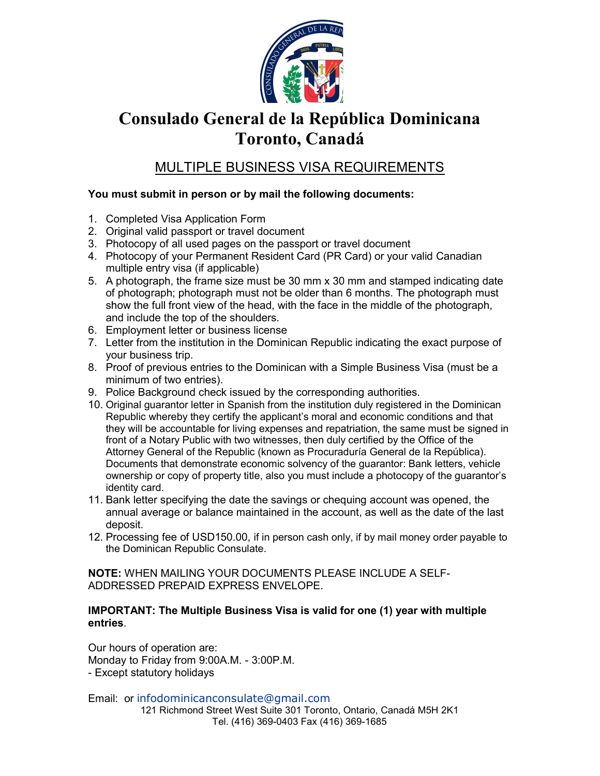

# Consulado General de la República Dominicana Toronto, Canadá

### MULTIPLE BUSINESS VISA REQUIREMENTS

### You must submit in person or by mail the following documents:

- 1. Completed Visa Application Form
- 2. Original valid passport or travel document
- 3. Photocopy of all used pages on the passport or travel document
- 4. Photocopy of your Permanent Resident Card (PR Card) or your valid Canadian multiple entry visa (if applicable)
- 5. A photograph, the frame size must be 30 mm x 30 mm and stamped indicating date of photograph; photograph must not be older than 6 months. The photograph must show the full front view of the head, with the face in the middle of the photograph, and include the top of the shoulders.
- 6. Employment letter or business license
- 7. Letter from the institution in the Dominican Republic indicating the exact purpose of your business trip.
- 8. Proof of previous entries to the Dominican with a Simple Business Visa (must be a minimum of two entries).
- 9. Police Background check issued by the corresponding authorities.
- 10. Original guarantor letter in Spanish from the institution duly registered in the Dominican Republic whereby they certify the applicant's moral and economic conditions and that they will be accountable for living expenses and repatriation, the same must be signed in front of a Notary Public with two witnesses, then duly certified by the Office of the Attorney General of the Republic (known as Procuraduría General de la República). Documents that demonstrate economic solvency of the guarantor: Bank letters, vehicle ownership or copy of property title, also you must include a photocopy of the guarantor's identity card.
- 11. Bank letter specifying the date the savings or chequing account was opened, the annual average or balance maintained in the account, as well as the date of the last deposit.
- 12. Processing fee of USD150.00, if in person cash only, if by mail money order payable to the Dominican Republic Consulate.

NOTE: WHEN MAILING YOUR DOCUMENTS PLEASE INCLUDE A SELF-ADDRESSED PREPAID EXPRESS ENVELOPE.

#### IMPORTANT: The Multiple Business Visa is valid for one (1) year with multiple entries.

Our hours of operation are: Monday to Friday from 9:00A.M. - 3:00P.M. - Except statutory holidays

121 Richmond Street West Suite 301 Toronto, Ontario, Canadá M5H 2K1 Tel. (416) 369-0403 Fax (416) 369-1685 Email: or infodominicanconsulate@gmail.com